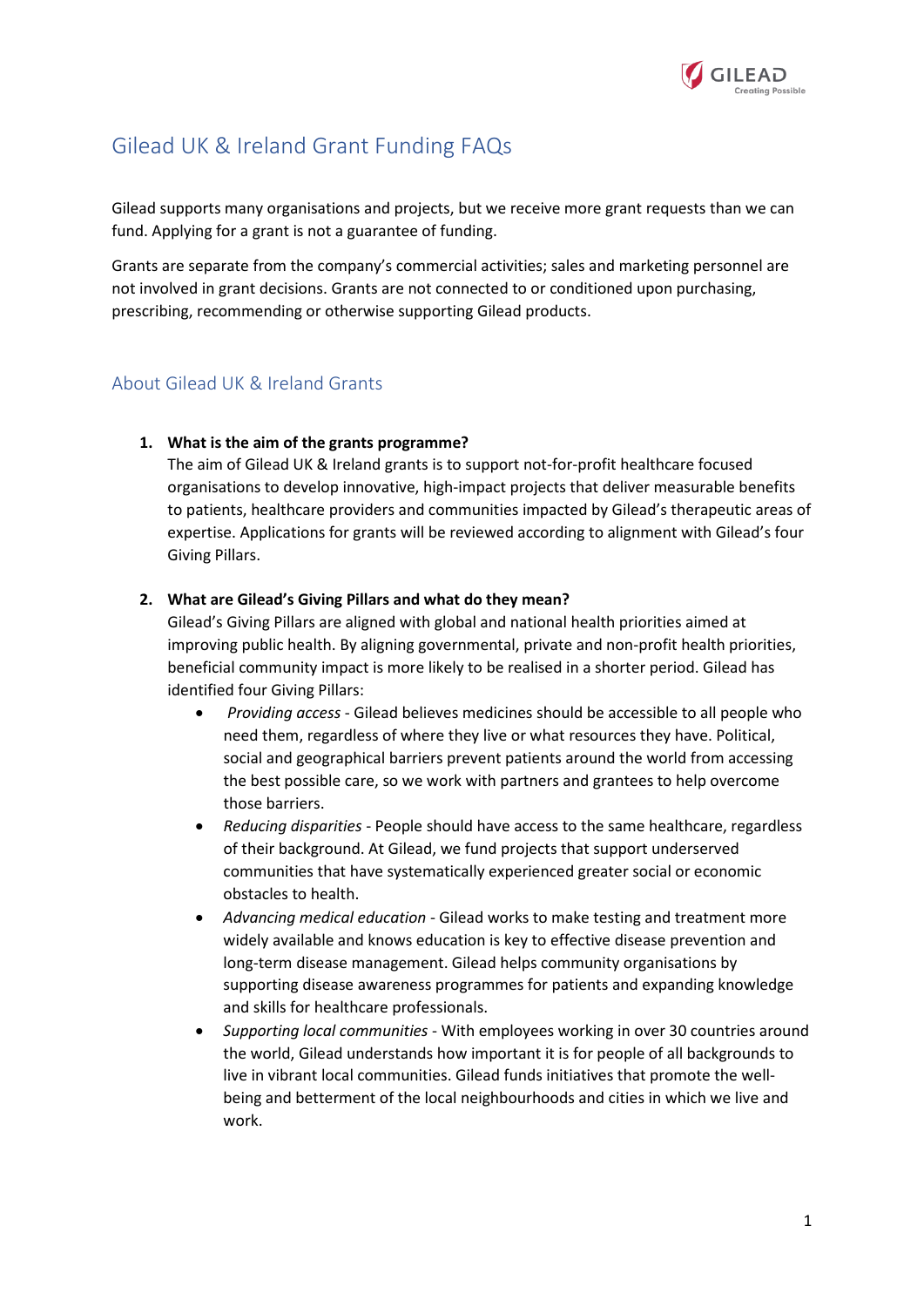

# Gilead UK & Ireland Grant Funding FAQs

Gilead supports many organisations and projects, but we receive more grant requests than we can fund. Applying for a grant is not a guarantee of funding.

Grants are separate from the company's commercial activities; sales and marketing personnel are not involved in grant decisions. Grants are not connected to or conditioned upon purchasing, prescribing, recommending or otherwise supporting Gilead products.

# About Gilead UK & Ireland Grants

### **1. What is the aim of the grants programme?**

The aim of Gilead UK & Ireland grants is to support not-for-profit healthcare focused organisations to develop innovative, high-impact projects that deliver measurable benefits to patients, healthcare providers and communities impacted by Gilead's therapeutic areas of expertise. Applications for grants will be reviewed according to alignment with Gilead's four Giving Pillars.

### **2. What are Gilead's Giving Pillars and what do they mean?**

Gilead's Giving Pillars are aligned with global and national health priorities aimed at improving public health. By aligning governmental, private and non-profit health priorities, beneficial community impact is more likely to be realised in a shorter period. Gilead has identified four Giving Pillars:

- *Providing access* Gilead believes medicines should be accessible to all people who need them, regardless of where they live or what resources they have. Political, social and geographical barriers prevent patients around the world from accessing the best possible care, so we work with partners and grantees to help overcome those barriers.
- *Reducing disparities* People should have access to the same healthcare, regardless of their background. At Gilead, we fund projects that support underserved communities that have systematically experienced greater social or economic obstacles to health.
- *Advancing medical education* Gilead works to make testing and treatment more widely available and knows education is key to effective disease prevention and long-term disease management. Gilead helps community organisations by supporting disease awareness programmes for patients and expanding knowledge and skills for healthcare professionals.
- *Supporting local communities* With employees working in over 30 countries around the world, Gilead understands how important it is for people of all backgrounds to live in vibrant local communities. Gilead funds initiatives that promote the wellbeing and betterment of the local neighbourhoods and cities in which we live and work.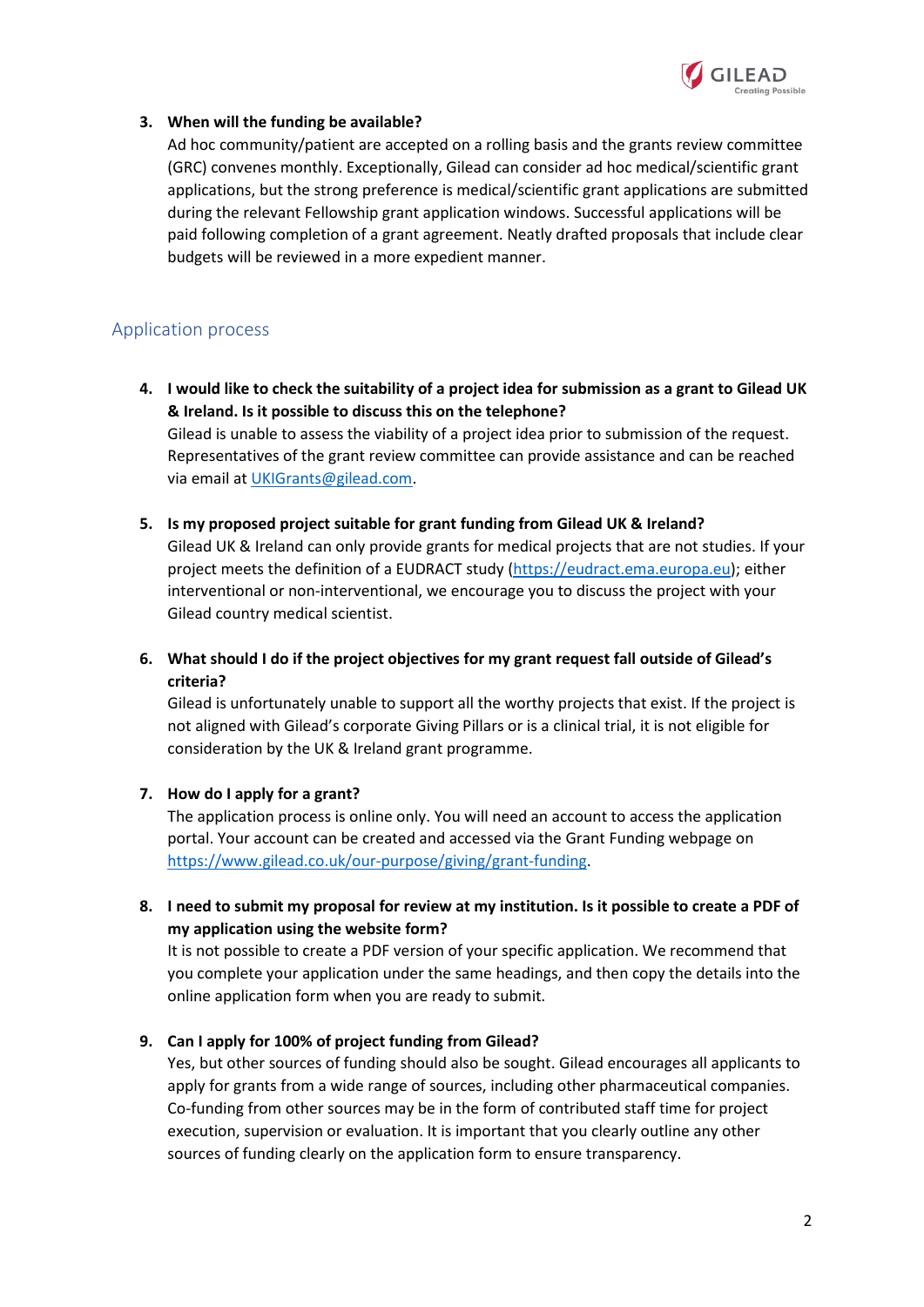

## **3. When will the funding be available?**

Ad hoc community/patient are accepted on a rolling basis and the grants review committee (GRC) convenes monthly. Exceptionally, Gilead can consider ad hoc medical/scientific grant applications, but the strong preference is medical/scientific grant applications are submitted during the relevant Fellowship grant application windows. Successful applications will be paid following completion of a grant agreement. Neatly drafted proposals that include clear budgets will be reviewed in a more expedient manner.

# Application process

- **4. I would like to check the suitability of a project idea for submission as a grant to Gilead UK & Ireland. Is it possible to discuss this on the telephone?** Gilead is unable to assess the viability of a project idea prior to submission of the request. Representatives of the grant review committee can provide assistance and can be reached via email at [UKIGrants@gilead.com.](mailto:UKIGrants@gilead.com)
- **5. Is my proposed project suitable for grant funding from Gilead UK & Ireland?** Gilead UK & Ireland can only provide grants for medical projects that are not studies. If your project meets the definition of a EUDRACT study [\(https://eudract.ema.europa.eu\)](https://eudract.ema.europa.eu/); either interventional or non-interventional, we encourage you to discuss the project with your Gilead country medical scientist.
- **6. What should I do if the project objectives for my grant request fall outside of Gilead's criteria?**

Gilead is unfortunately unable to support all the worthy projects that exist. If the project is not aligned with Gilead's corporate Giving Pillars or is a clinical trial, it is not eligible for consideration by the UK & Ireland grant programme.

# **7. How do I apply for a grant?**

The application process is online only. You will need an account to access the application portal. Your account can be created and accessed via the Grant Funding webpage on [https://www.gilead.co.uk/our-purpose/giving/grant-funding.](https://www.gilead.co.uk/our-purpose/giving/grant-funding)

**8. I need to submit my proposal for review at my institution. Is it possible to create a PDF of my application using the website form?**

It is not possible to create a PDF version of your specific application. We recommend that you complete your application under the same headings, and then copy the details into the online application form when you are ready to submit.

**9. Can I apply for 100% of project funding from Gilead?**

Yes, but other sources of funding should also be sought. Gilead encourages all applicants to apply for grants from a wide range of sources, including other pharmaceutical companies. Co-funding from other sources may be in the form of contributed staff time for project execution, supervision or evaluation. It is important that you clearly outline any other sources of funding clearly on the application form to ensure transparency.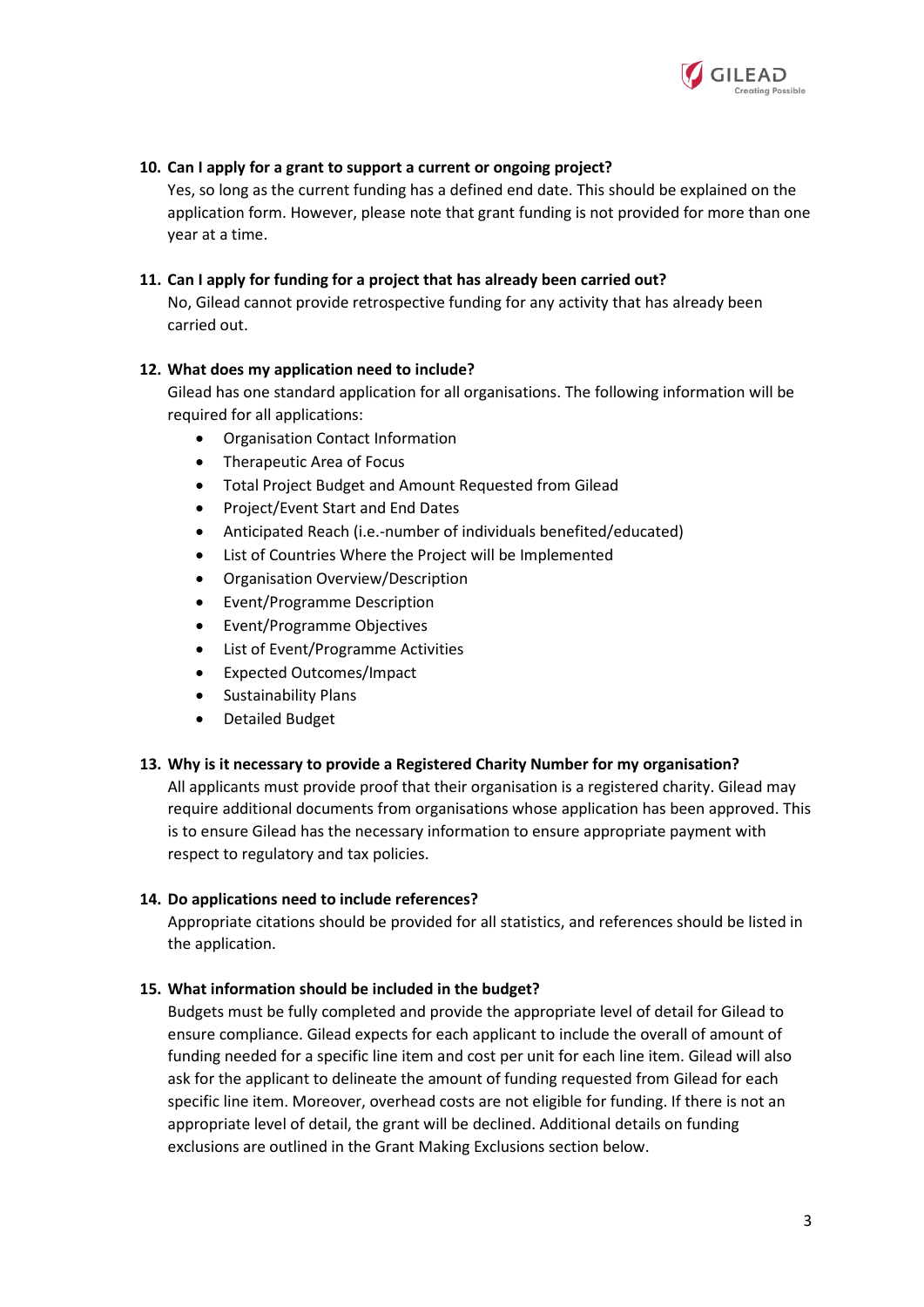

## **10. Can I apply for a grant to support a current or ongoing project?**

Yes, so long as the current funding has a defined end date. This should be explained on the application form. However, please note that grant funding is not provided for more than one year at a time.

#### **11. Can I apply for funding for a project that has already been carried out?**

No, Gilead cannot provide retrospective funding for any activity that has already been carried out.

#### **12. What does my application need to include?**

Gilead has one standard application for all organisations. The following information will be required for all applications:

- Organisation Contact Information
- Therapeutic Area of Focus
- Total Project Budget and Amount Requested from Gilead
- Project/Event Start and End Dates
- Anticipated Reach (i.e.-number of individuals benefited/educated)
- List of Countries Where the Project will be Implemented
- Organisation Overview/Description
- Event/Programme Description
- Event/Programme Objectives
- List of Event/Programme Activities
- Expected Outcomes/Impact
- Sustainability Plans
- Detailed Budget

#### **13. Why is it necessary to provide a Registered Charity Number for my organisation?**

All applicants must provide proof that their organisation is a registered charity. Gilead may require additional documents from organisations whose application has been approved. This is to ensure Gilead has the necessary information to ensure appropriate payment with respect to regulatory and tax policies.

#### **14. Do applications need to include references?**

Appropriate citations should be provided for all statistics, and references should be listed in the application.

#### **15. What information should be included in the budget?**

Budgets must be fully completed and provide the appropriate level of detail for Gilead to ensure compliance. Gilead expects for each applicant to include the overall of amount of funding needed for a specific line item and cost per unit for each line item. Gilead will also ask for the applicant to delineate the amount of funding requested from Gilead for each specific line item. Moreover, overhead costs are not eligible for funding. If there is not an appropriate level of detail, the grant will be declined. Additional details on funding exclusions are outlined in the Grant Making Exclusions section below.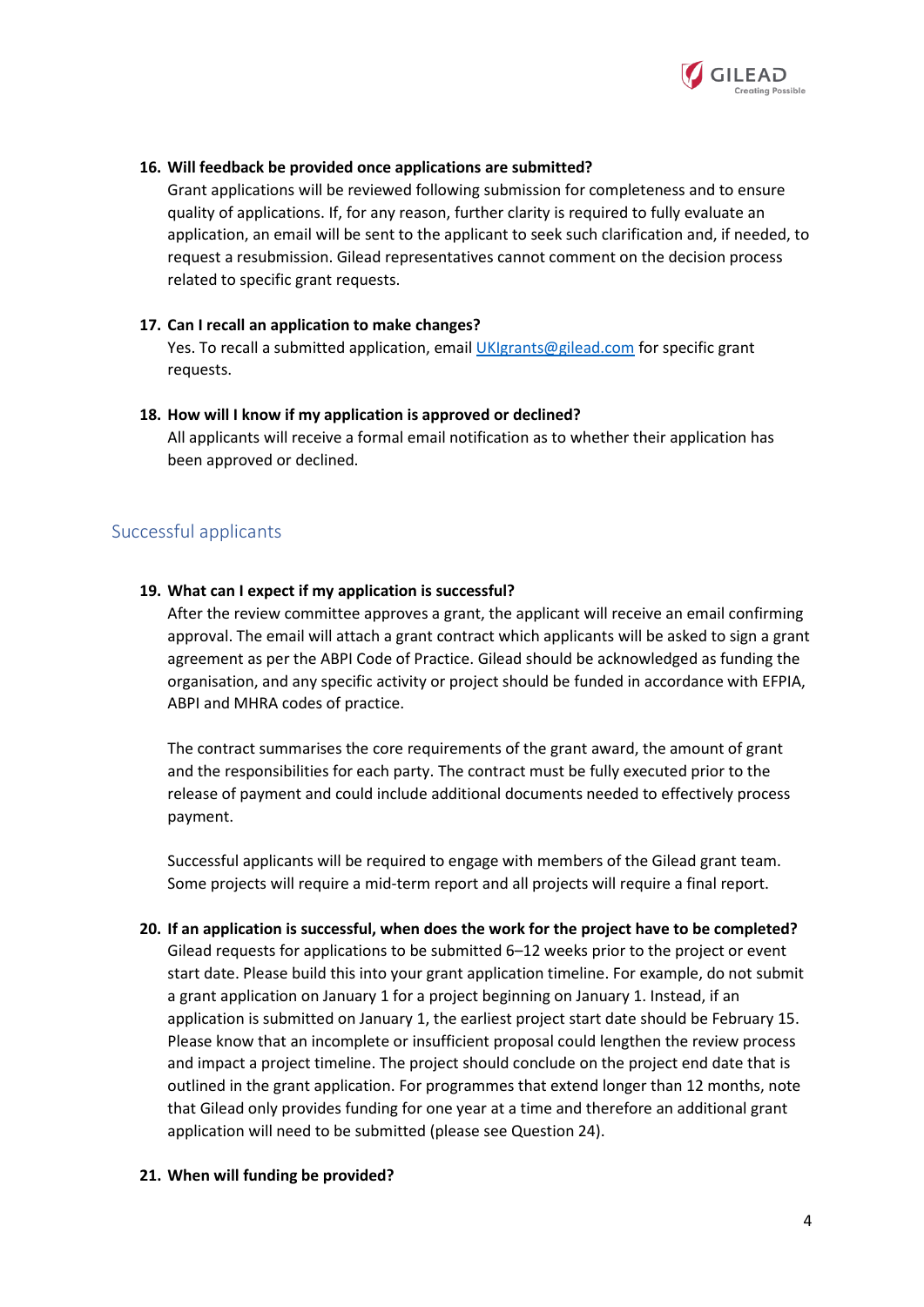

#### **16. Will feedback be provided once applications are submitted?**

Grant applications will be reviewed following submission for completeness and to ensure quality of applications. If, for any reason, further clarity is required to fully evaluate an application, an email will be sent to the applicant to seek such clarification and, if needed, to request a resubmission. Gilead representatives cannot comment on the decision process related to specific grant requests.

#### **17. Can I recall an application to make changes?**

Yes. To recall a submitted application, emai[l UKIgrants@gilead.com](mailto:UKIgrants@gilead.com) for specific grant requests.

#### **18. How will I know if my application is approved or declined?**

All applicants will receive a formal email notification as to whether their application has been approved or declined.

# Successful applicants

#### **19. What can I expect if my application is successful?**

After the review committee approves a grant, the applicant will receive an email confirming approval. The email will attach a grant contract which applicants will be asked to sign a grant agreement as per the ABPI Code of Practice. Gilead should be acknowledged as funding the organisation, and any specific activity or project should be funded in accordance with EFPIA, ABPI and MHRA codes of practice.

The contract summarises the core requirements of the grant award, the amount of grant and the responsibilities for each party. The contract must be fully executed prior to the release of payment and could include additional documents needed to effectively process payment.

Successful applicants will be required to engage with members of the Gilead grant team. Some projects will require a mid-term report and all projects will require a final report.

**20. If an application is successful, when does the work for the project have to be completed?** Gilead requests for applications to be submitted 6–12 weeks prior to the project or event start date. Please build this into your grant application timeline. For example, do not submit a grant application on January 1 for a project beginning on January 1. Instead, if an application is submitted on January 1, the earliest project start date should be February 15. Please know that an incomplete or insufficient proposal could lengthen the review process and impact a project timeline. The project should conclude on the project end date that is outlined in the grant application. For programmes that extend longer than 12 months, note that Gilead only provides funding for one year at a time and therefore an additional grant application will need to be submitted (please see Question 24).

#### **21. When will funding be provided?**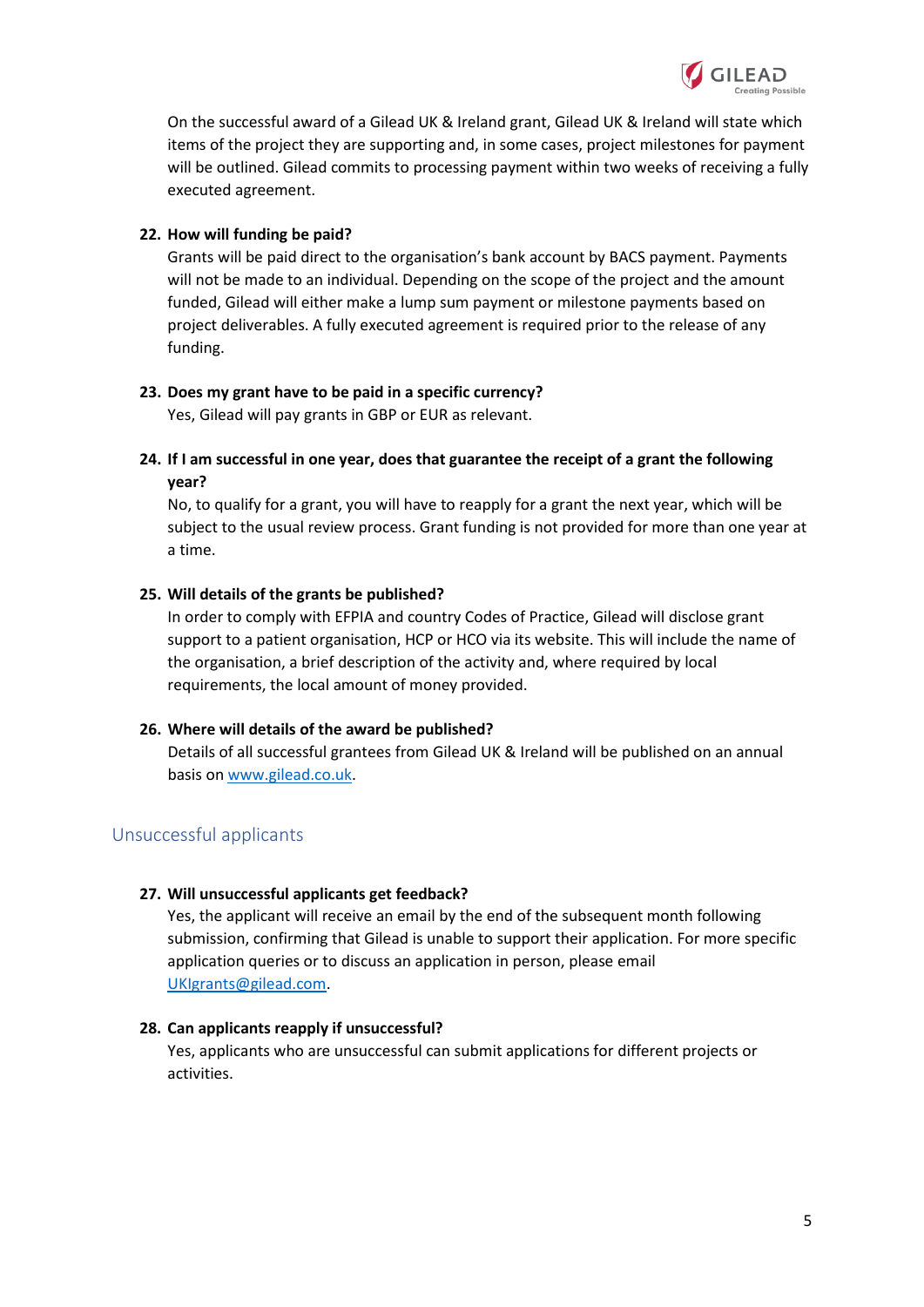

On the successful award of a Gilead UK & Ireland grant, Gilead UK & Ireland will state which items of the project they are supporting and, in some cases, project milestones for payment will be outlined. Gilead commits to processing payment within two weeks of receiving a fully executed agreement.

#### **22. How will funding be paid?**

Grants will be paid direct to the organisation's bank account by BACS payment. Payments will not be made to an individual. Depending on the scope of the project and the amount funded, Gilead will either make a lump sum payment or milestone payments based on project deliverables. A fully executed agreement is required prior to the release of any funding.

### **23. Does my grant have to be paid in a specific currency?**

Yes, Gilead will pay grants in GBP or EUR as relevant.

**24. If I am successful in one year, does that guarantee the receipt of a grant the following year?**

No, to qualify for a grant, you will have to reapply for a grant the next year, which will be subject to the usual review process. Grant funding is not provided for more than one year at a time.

### **25. Will details of the grants be published?**

In order to comply with EFPIA and country Codes of Practice, Gilead will disclose grant support to a patient organisation, HCP or HCO via its website. This will include the name of the organisation, a brief description of the activity and, where required by local requirements, the local amount of money provided.

#### **26. Where will details of the award be published?**

Details of all successful grantees from Gilead UK & Ireland will be published on an annual basis o[n www.gilead.co.uk.](http://www.gilead.co.uk/)

# Unsuccessful applicants

#### **27. Will unsuccessful applicants get feedback?**

Yes, the applicant will receive an email by the end of the subsequent month following submission, confirming that Gilead is unable to support their application. For more specific application queries or to discuss an application in person, please email [UKIgrants@gilead.com.](mailto:UKIgrants@gilead.com)

#### **28. Can applicants reapply if unsuccessful?**

Yes, applicants who are unsuccessful can submit applications for different projects or activities.